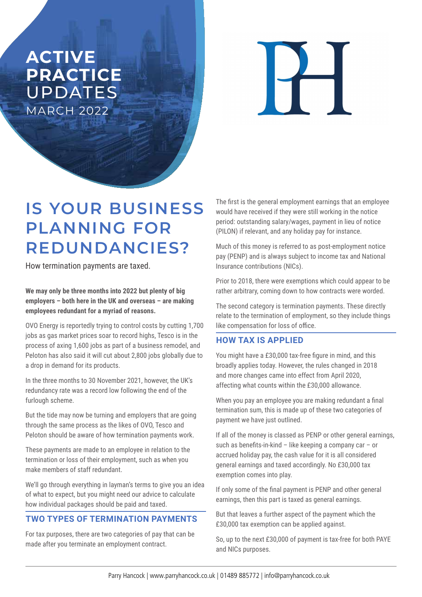## **ACTIVE PRACTICE**  UPDATES MARCH 2022

 $\overline{\mathbf{H}}$ 

# **IS YOUR BUSINESS PLANNING FOR REDUNDANCIES?**

How termination payments are taxed.

**We may only be three months into 2022 but plenty of big employers – both here in the UK and overseas – are making employees redundant for a myriad of reasons.** 

OVO Energy is reportedly trying to control costs by cutting 1,700 jobs as gas market prices soar to record highs, Tesco is in the process of axing 1,600 jobs as part of a business remodel, and Peloton has also said it will cut about 2,800 jobs globally due to a drop in demand for its products.

In the three months to 30 November 2021, however, the UK's redundancy rate was a record low following the end of the furlough scheme.

But the tide may now be turning and employers that are going through the same process as the likes of OVO, Tesco and Peloton should be aware of how termination payments work.

These payments are made to an employee in relation to the termination or loss of their employment, such as when you make members of staff redundant.

We'll go through everything in layman's terms to give you an idea of what to expect, but you might need our advice to calculate how individual packages should be paid and taxed.

#### **TWO TYPES OF TERMINATION PAYMENTS**

For tax purposes, there are two categories of pay that can be made after you terminate an employment contract.

The first is the general employment earnings that an employee would have received if they were still working in the notice period: outstanding salary/wages, payment in lieu of notice (PILON) if relevant, and any holiday pay for instance.

Much of this money is referred to as post-employment notice pay (PENP) and is always subject to income tax and National Insurance contributions (NICs).

Prior to 2018, there were exemptions which could appear to be rather arbitrary, coming down to how contracts were worded.

The second category is termination payments. These directly relate to the termination of employment, so they include things like compensation for loss of office.

### **HOW TAX IS APPLIED**

You might have a £30,000 tax-free figure in mind, and this broadly applies today. However, the rules changed in 2018 and more changes came into effect from April 2020, affecting what counts within the £30,000 allowance.

When you pay an employee you are making redundant a final termination sum, this is made up of these two categories of payment we have just outlined.

If all of the money is classed as PENP or other general earnings, such as benefits-in-kind – like keeping a company car – or accrued holiday pay, the cash value for it is all considered general earnings and taxed accordingly. No £30,000 tax exemption comes into play.

If only some of the final payment is PENP and other general earnings, then this part is taxed as general earnings.

But that leaves a further aspect of the payment which the £30,000 tax exemption can be applied against.

So, up to the next £30,000 of payment is tax-free for both PAYE and NICs purposes.